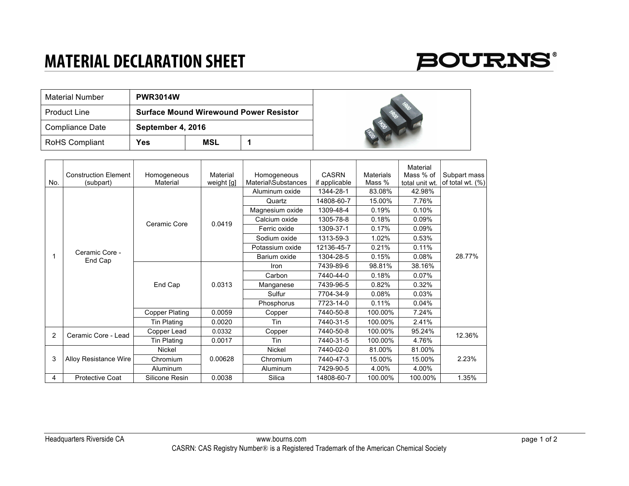## **MATERIAL DECLARATION SHEET**



| Material Number       | <b>PWR3014W</b> |                                               |  |    |
|-----------------------|-----------------|-----------------------------------------------|--|----|
| <b>Product Line</b>   |                 | <b>Surface Mound Wirewound Power Resistor</b> |  |    |
| Compliance Date       |                 | September 4, 2016                             |  |    |
| <b>RoHS Compliant</b> | Yes             | MSL                                           |  | E. |



|                |                              |                       |            |                     |               |                  | Material       |                  |
|----------------|------------------------------|-----------------------|------------|---------------------|---------------|------------------|----------------|------------------|
|                | <b>Construction Element</b>  | Homogeneous           | Material   | Homogeneous         | <b>CASRN</b>  | <b>Materials</b> | Mass % of      | Subpart mass     |
| No.            | (subpart)                    | Material              | weight [g] | Material\Substances | if applicable | Mass %           | total unit wt. | of total wt. (%) |
|                | Ceramic Core -<br>End Cap    | Ceramic Core          | 0.0419     | Aluminum oxide      | 1344-28-1     | 83.08%           | 42.98%         | 28.77%           |
|                |                              |                       |            | Quartz              | 14808-60-7    | 15.00%           | 7.76%          |                  |
|                |                              |                       |            | Magnesium oxide     | 1309-48-4     | 0.19%            | 0.10%          |                  |
|                |                              |                       |            | Calcium oxide       | 1305-78-8     | 0.18%            | 0.09%          |                  |
|                |                              |                       |            | Ferric oxide        | 1309-37-1     | 0.17%            | 0.09%          |                  |
|                |                              |                       |            | Sodium oxide        | 1313-59-3     | 1.02%            | 0.53%          |                  |
|                |                              |                       |            | Potassium oxide     | 12136-45-7    | 0.21%            | 0.11%          |                  |
| 1              |                              |                       |            | Barium oxide        | 1304-28-5     | 0.15%            | 0.08%          |                  |
|                |                              | End Cap               | 0.0313     | Iron                | 7439-89-6     | 98.81%           | 38.16%         |                  |
|                |                              |                       |            | Carbon              | 7440-44-0     | 0.18%            | 0.07%          |                  |
|                |                              |                       |            | Manganese           | 7439-96-5     | 0.82%            | 0.32%          |                  |
|                |                              |                       |            | Sulfur              | 7704-34-9     | 0.08%            | 0.03%          |                  |
|                |                              |                       |            | Phosphorus          | 7723-14-0     | 0.11%            | 0.04%          |                  |
|                |                              | <b>Copper Plating</b> | 0.0059     | Copper              | 7440-50-8     | 100.00%          | 7.24%          |                  |
|                |                              | Tin Plating           | 0.0020     | Tin                 | 7440-31-5     | 100.00%          | 2.41%          |                  |
| $\overline{2}$ | Ceramic Core - Lead          | Copper Lead           | 0.0332     | Copper              | 7440-50-8     | 100.00%          | 95.24%         | 12.36%           |
|                |                              | Tin Plating           | 0.0017     | Tin                 | 7440-31-5     | 100.00%          | 4.76%          |                  |
| 3              | <b>Alloy Resistance Wire</b> | <b>Nickel</b>         | 0.00628    | <b>Nickel</b>       | 7440-02-0     | 81.00%           | 81.00%         | 2.23%            |
|                |                              | Chromium              |            | Chromium            | 7440-47-3     | 15.00%           | 15.00%         |                  |
|                |                              | Aluminum              |            | Aluminum            | 7429-90-5     | 4.00%            | 4.00%          |                  |
| 4              | <b>Protective Coat</b>       | Silicone Resin        | 0.0038     | Silica              | 14808-60-7    | 100.00%          | 100.00%        | 1.35%            |